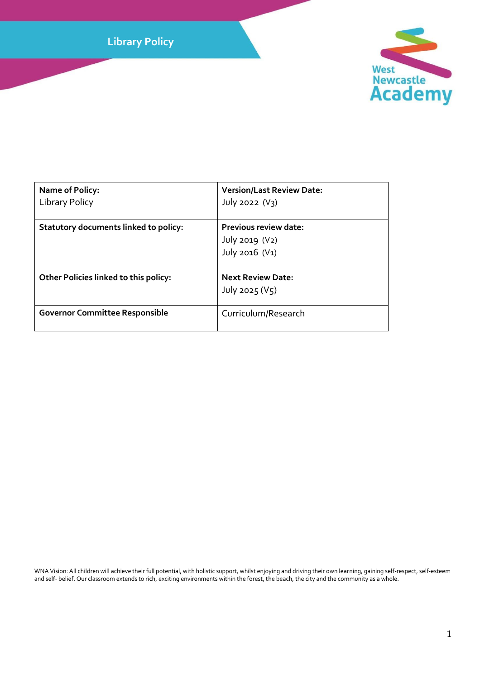**Library Policy**



| <b>Name of Policy:</b><br>Library Policy     | <b>Version/Last Review Date:</b><br>July 2022 $(V3)$      |
|----------------------------------------------|-----------------------------------------------------------|
| <b>Statutory documents linked to policy:</b> | Previous review date:<br>July 2019 (V2)<br>July 2016 (V1) |
| <b>Other Policies linked to this policy:</b> | <b>Next Review Date:</b><br>July 2025 ( $V_5$ )           |
| <b>Governor Committee Responsible</b>        | Curriculum/Research                                       |

WNA Vision: All children will achieve their full potential, with holistic support, whilst enjoying and driving their own learning, gaining self-respect, self-esteem and self- belief. Our classroom extends to rich, exciting environments within the forest, the beach, the city and the community as a whole.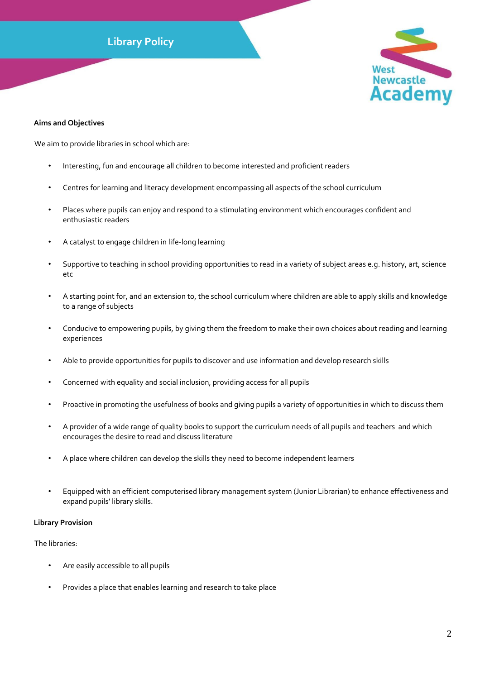# **Library Policy**



## **Aims and Objectives**

We aim to provide libraries in school which are:

- Interesting, fun and encourage all children to become interested and proficient readers
- Centres for learning and literacy development encompassing all aspects of the school curriculum
- Places where pupils can enjoy and respond to a stimulating environment which encourages confident and enthusiastic readers
- A catalyst to engage children in life-long learning
- Supportive to teaching in school providing opportunities to read in a variety of subject areas e.g. history, art, science etc
- A starting point for, and an extension to, the school curriculum where children are able to apply skills and knowledge to a range of subjects
- Conducive to empowering pupils, by giving them the freedom to make their own choices about reading and learning experiences
- Able to provide opportunities for pupils to discover and use information and develop research skills
- Concerned with equality and social inclusion, providing access for all pupils
- Proactive in promoting the usefulness of books and giving pupils a variety of opportunities in which to discuss them
- A provider of a wide range of quality books to support the curriculum needs of all pupils and teachers and which encourages the desire to read and discuss literature
- A place where children can develop the skills they need to become independent learners
- Equipped with an efficient computerised library management system (Junior Librarian) to enhance effectiveness and expand pupils' library skills.

# **Library Provision**

The libraries:

- Are easily accessible to all pupils
- Provides a place that enables learning and research to take place